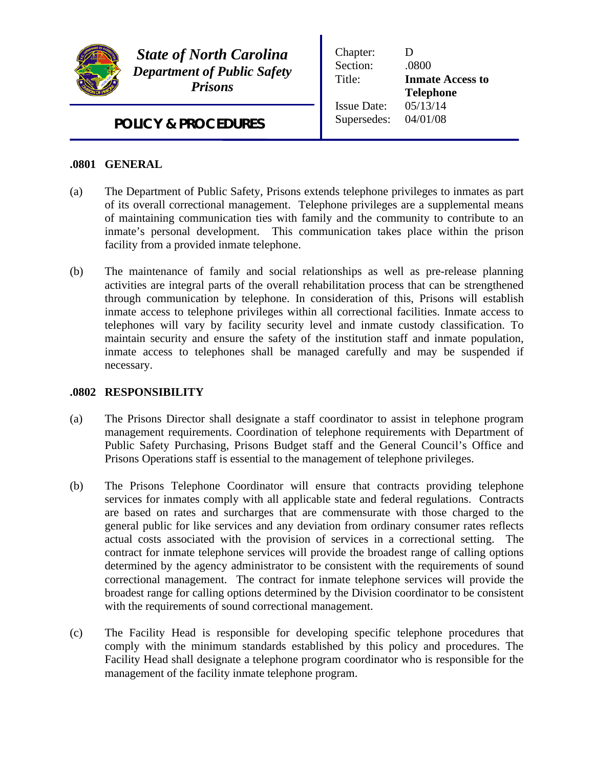

*State of North Carolina Department of Public Safety Prisons*

Chapter: D Section: .0800 Title: **Inmate Access to Telephone** Issue Date: 05/13/14 Supersedes: 04/01/08

*POLICY & PROCEDURES*

## **.0801 GENERAL**

- (a) The Department of Public Safety, Prisons extends telephone privileges to inmates as part of its overall correctional management. Telephone privileges are a supplemental means of maintaining communication ties with family and the community to contribute to an inmate's personal development. This communication takes place within the prison facility from a provided inmate telephone.
- (b) The maintenance of family and social relationships as well as pre-release planning activities are integral parts of the overall rehabilitation process that can be strengthened through communication by telephone. In consideration of this, Prisons will establish inmate access to telephone privileges within all correctional facilities. Inmate access to telephones will vary by facility security level and inmate custody classification. To maintain security and ensure the safety of the institution staff and inmate population, inmate access to telephones shall be managed carefully and may be suspended if necessary.

## **.0802 RESPONSIBILITY**

- (a) The Prisons Director shall designate a staff coordinator to assist in telephone program management requirements. Coordination of telephone requirements with Department of Public Safety Purchasing, Prisons Budget staff and the General Council's Office and Prisons Operations staff is essential to the management of telephone privileges.
- (b) The Prisons Telephone Coordinator will ensure that contracts providing telephone services for inmates comply with all applicable state and federal regulations. Contracts are based on rates and surcharges that are commensurate with those charged to the general public for like services and any deviation from ordinary consumer rates reflects actual costs associated with the provision of services in a correctional setting. The contract for inmate telephone services will provide the broadest range of calling options determined by the agency administrator to be consistent with the requirements of sound correctional management. The contract for inmate telephone services will provide the broadest range for calling options determined by the Division coordinator to be consistent with the requirements of sound correctional management.
- (c) The Facility Head is responsible for developing specific telephone procedures that comply with the minimum standards established by this policy and procedures. The Facility Head shall designate a telephone program coordinator who is responsible for the management of the facility inmate telephone program.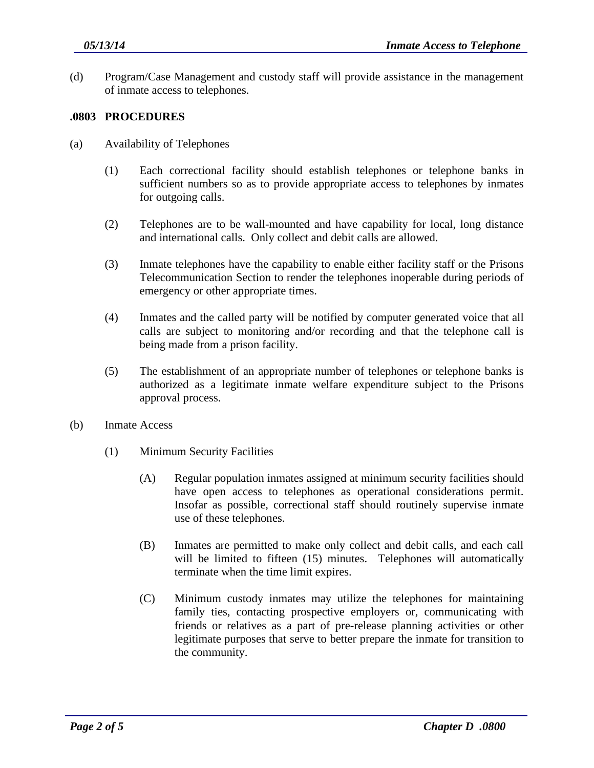(d) Program/Case Management and custody staff will provide assistance in the management of inmate access to telephones.

## **.0803 PROCEDURES**

- (a) Availability of Telephones
	- (1) Each correctional facility should establish telephones or telephone banks in sufficient numbers so as to provide appropriate access to telephones by inmates for outgoing calls.
	- (2) Telephones are to be wall-mounted and have capability for local, long distance and international calls. Only collect and debit calls are allowed.
	- (3) Inmate telephones have the capability to enable either facility staff or the Prisons Telecommunication Section to render the telephones inoperable during periods of emergency or other appropriate times.
	- (4) Inmates and the called party will be notified by computer generated voice that all calls are subject to monitoring and/or recording and that the telephone call is being made from a prison facility.
	- (5) The establishment of an appropriate number of telephones or telephone banks is authorized as a legitimate inmate welfare expenditure subject to the Prisons approval process.
- (b) Inmate Access
	- (1) Minimum Security Facilities
		- (A) Regular population inmates assigned at minimum security facilities should have open access to telephones as operational considerations permit. Insofar as possible, correctional staff should routinely supervise inmate use of these telephones.
		- (B) Inmates are permitted to make only collect and debit calls, and each call will be limited to fifteen (15) minutes. Telephones will automatically terminate when the time limit expires.
		- (C) Minimum custody inmates may utilize the telephones for maintaining family ties, contacting prospective employers or, communicating with friends or relatives as a part of pre-release planning activities or other legitimate purposes that serve to better prepare the inmate for transition to the community.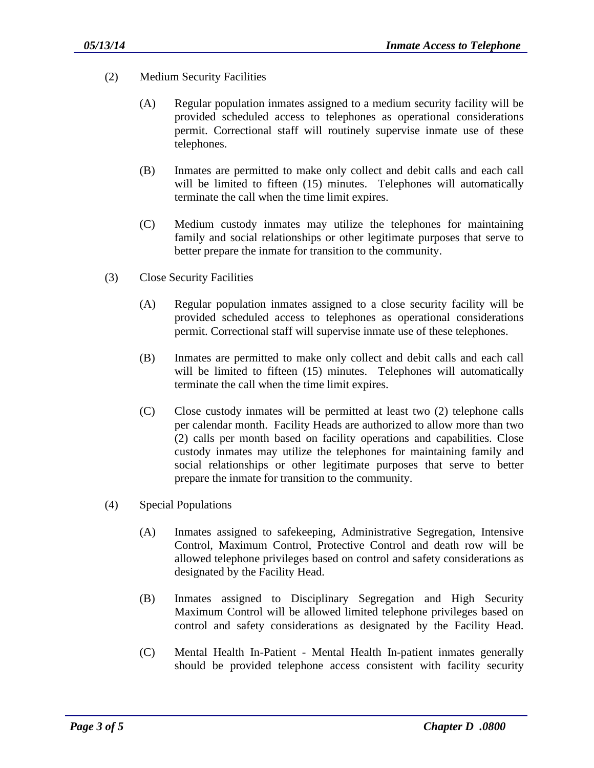- (2) Medium Security Facilities
	- (A) Regular population inmates assigned to a medium security facility will be provided scheduled access to telephones as operational considerations permit. Correctional staff will routinely supervise inmate use of these telephones.
	- (B) Inmates are permitted to make only collect and debit calls and each call will be limited to fifteen (15) minutes. Telephones will automatically terminate the call when the time limit expires.
	- (C) Medium custody inmates may utilize the telephones for maintaining family and social relationships or other legitimate purposes that serve to better prepare the inmate for transition to the community.
- (3) Close Security Facilities
	- (A) Regular population inmates assigned to a close security facility will be provided scheduled access to telephones as operational considerations permit. Correctional staff will supervise inmate use of these telephones.
	- (B) Inmates are permitted to make only collect and debit calls and each call will be limited to fifteen (15) minutes. Telephones will automatically terminate the call when the time limit expires.
	- (C) Close custody inmates will be permitted at least two (2) telephone calls per calendar month. Facility Heads are authorized to allow more than two (2) calls per month based on facility operations and capabilities. Close custody inmates may utilize the telephones for maintaining family and social relationships or other legitimate purposes that serve to better prepare the inmate for transition to the community.
- (4) Special Populations
	- (A) Inmates assigned to safekeeping, Administrative Segregation, Intensive Control, Maximum Control, Protective Control and death row will be allowed telephone privileges based on control and safety considerations as designated by the Facility Head.
	- (B) Inmates assigned to Disciplinary Segregation and High Security Maximum Control will be allowed limited telephone privileges based on control and safety considerations as designated by the Facility Head.
	- (C) Mental Health In-Patient Mental Health In-patient inmates generally should be provided telephone access consistent with facility security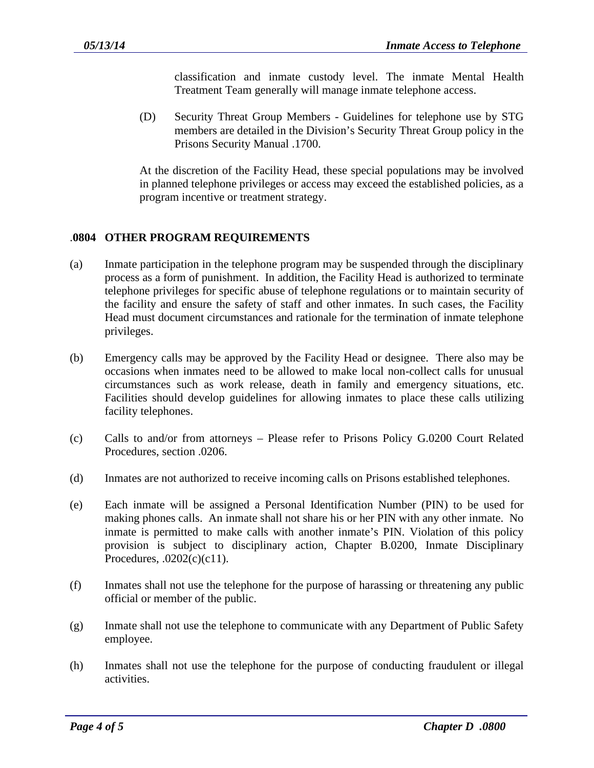classification and inmate custody level. The inmate Mental Health Treatment Team generally will manage inmate telephone access.

(D) Security Threat Group Members - Guidelines for telephone use by STG members are detailed in the Division's Security Threat Group policy in the Prisons Security Manual .1700.

At the discretion of the Facility Head, these special populations may be involved in planned telephone privileges or access may exceed the established policies, as a program incentive or treatment strategy.

## .**0804 OTHER PROGRAM REQUIREMENTS**

- (a) Inmate participation in the telephone program may be suspended through the disciplinary process as a form of punishment. In addition, the Facility Head is authorized to terminate telephone privileges for specific abuse of telephone regulations or to maintain security of the facility and ensure the safety of staff and other inmates. In such cases, the Facility Head must document circumstances and rationale for the termination of inmate telephone privileges.
- (b) Emergency calls may be approved by the Facility Head or designee. There also may be occasions when inmates need to be allowed to make local non-collect calls for unusual circumstances such as work release, death in family and emergency situations, etc. Facilities should develop guidelines for allowing inmates to place these calls utilizing facility telephones.
- (c) Calls to and/or from attorneys Please refer to Prisons Policy G.0200 Court Related Procedures, section .0206.
- (d) Inmates are not authorized to receive incoming calls on Prisons established telephones.
- (e) Each inmate will be assigned a Personal Identification Number (PIN) to be used for making phones calls. An inmate shall not share his or her PIN with any other inmate. No inmate is permitted to make calls with another inmate's PIN. Violation of this policy provision is subject to disciplinary action, Chapter B.0200, Inmate Disciplinary Procedures, .0202(c)(c11).
- (f) Inmates shall not use the telephone for the purpose of harassing or threatening any public official or member of the public.
- (g) Inmate shall not use the telephone to communicate with any Department of Public Safety employee.
- (h) Inmates shall not use the telephone for the purpose of conducting fraudulent or illegal activities.